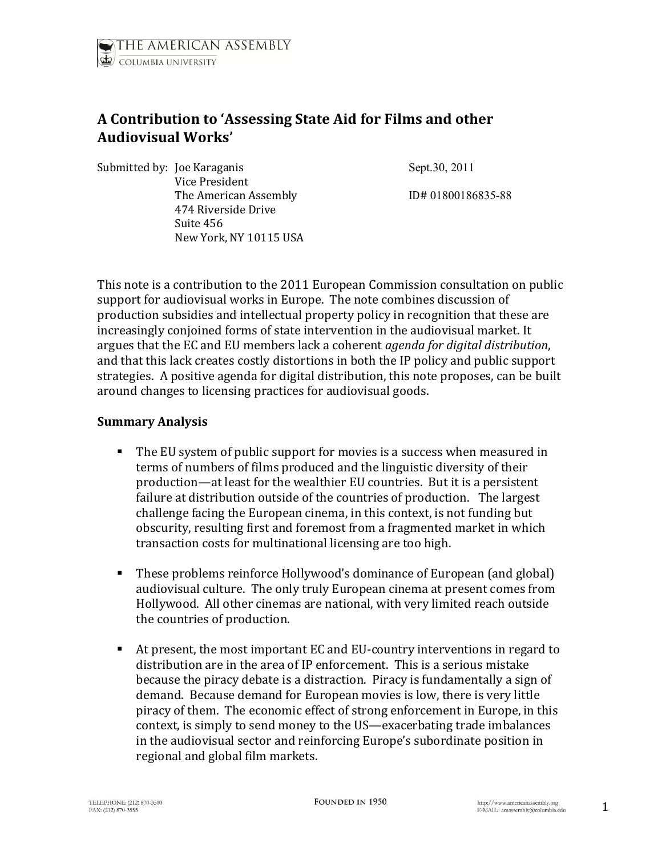# **A Contribution to 'Assessing State Aid for Films and other Audiovisual Works'**

Submitted by: Joe Karaganis Sept.30, 2011 Vice President The American Assembly ID# 01800186835-88 474 Riverside Drive Suite 456 New York, NY 10115 USA

This note is a contribution to the 2011 European Commission consultation on public support for audiovisual works in Europe. The note combines discussion of production subsidies and intellectual property policy in recognition that these are increasingly conjoined forms of state intervention in the audiovisual market. It argues that the EC and EU members lack a coherent *agenda for digital distribution*, and that this lack creates costly distortions in both the IP policy and public support strategies. A positive agenda for digital distribution, this note proposes, can be built around changes to licensing practices for audiovisual goods.

#### **Summary Analysis**

- The EU system of public support for movies is a success when measured in terms of numbers of films produced and the linguistic diversity of their production—at least for the wealthier EU countries. But it is a persistent failure at distribution outside of the countries of production. The largest challenge facing the European cinema, in this context, is not funding but obscurity, resulting first and foremost from a fragmented market in which transaction costs for multinational licensing are too high.
- These problems reinforce Hollywood's dominance of European (and global) audiovisual culture. The only truly European cinema at present comes from Hollywood. All other cinemas are national, with very limited reach outside the countries of production.
- At present, the most important EC and EU-country interventions in regard to distribution are in the area of IP enforcement. This is a serious mistake because the piracy debate is a distraction. Piracy is fundamentally a sign of demand. Because demand for European movies is low, there is very little piracy of them. The economic effect of strong enforcement in Europe, in this context, is simply to send money to the US—exacerbating trade imbalances in the audiovisual sector and reinforcing Europe's subordinate position in regional and global film markets.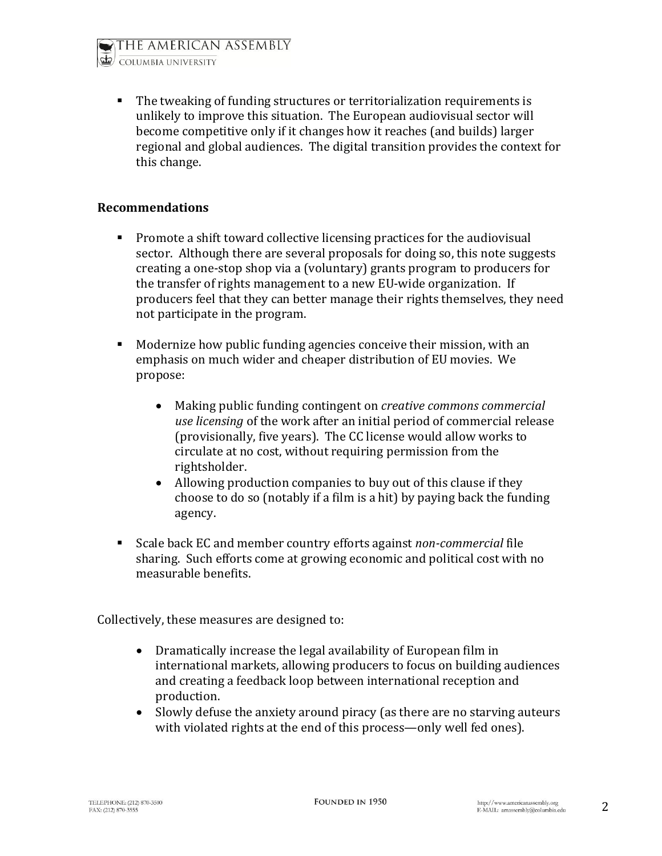THE AMERICAN ASSEMBLY COLUMBIA UNIVERSITY



• The tweaking of funding structures or territorialization requirements is unlikely to improve this situation. The European audiovisual sector will become competitive only if it changes how it reaches (and builds) larger regional and global audiences. The digital transition provides the context for this change.

#### **Recommendations**

- **Promote a shift toward collective licensing practices for the audiovisual** sector. Although there are several proposals for doing so, this note suggests creating a one-stop shop via a (voluntary) grants program to producers for the transfer of rights management to a new EU-wide organization. If producers feel that they can better manage their rights themselves, they need not participate in the program.
- Modernize how public funding agencies conceive their mission, with an emphasis on much wider and cheaper distribution of EU movies. We propose:
	- Making public funding contingent on *[creative commons commercial](http://creativecommons.org/licenses/by-nd/3.0/)  [use licensing](http://creativecommons.org/licenses/by-nd/3.0/)* of the work after an initial period of commercial release (provisionally, five years). The CC license would allow works to circulate at no cost, without requiring permission from the rightsholder.
	- Allowing production companies to buy out of this clause if they choose to do so (notably if a film is a hit) by paying back the funding agency.
- Scale back EC and member country efforts against *non-commercial* file sharing. Such efforts come at growing economic and political cost with no measurable benefits.

Collectively, these measures are designed to:

- Dramatically increase the legal availability of European film in international markets, allowing producers to focus on building audiences and creating a feedback loop between international reception and production.
- Slowly defuse the anxiety around piracy (as there are no starving auteurs with violated rights at the end of this process—only well fed ones).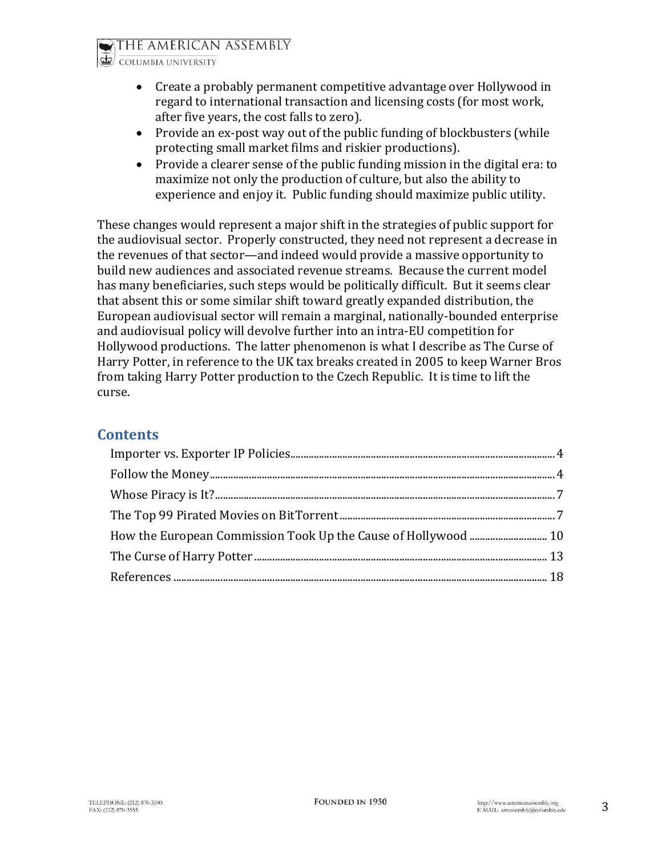COLUMBIA UNIVERSITY

- Create a probably permanent competitive advantage over Hollywood in regard to international transaction and licensing costs (for most work, after five years, the cost falls to zero).
- Provide an ex-post way out of the public funding of blockbusters (while protecting small market films and riskier productions).
- Provide a clearer sense of the public funding mission in the digital era: to maximize not only the production of culture, but also the ability to experience and enjoy it. Public funding should maximize public utility.

These changes would represent a major shift in the strategies of public support for the audiovisual sector. Properly constructed, they need not represent a decrease in the revenues of that sector—and indeed would provide a massive opportunity to build new audiences and associated revenue streams. Because the current model has many beneficiaries, such steps would be politically difficult. But it seems clear that absent this or some similar shift toward greatly expanded distribution, the European audiovisual sector will remain a marginal, nationally-bounded enterprise and audiovisual policy will devolve further into an intra-EU competition for Hollywood productions. The latter phenomenon is what I describe as The Curse of Harry Potter, in reference to the UK tax breaks created in 2005 to keep Warner Bros from taking Harry Potter production to the Czech Republic. It is time to lift the curse.

#### **Contents**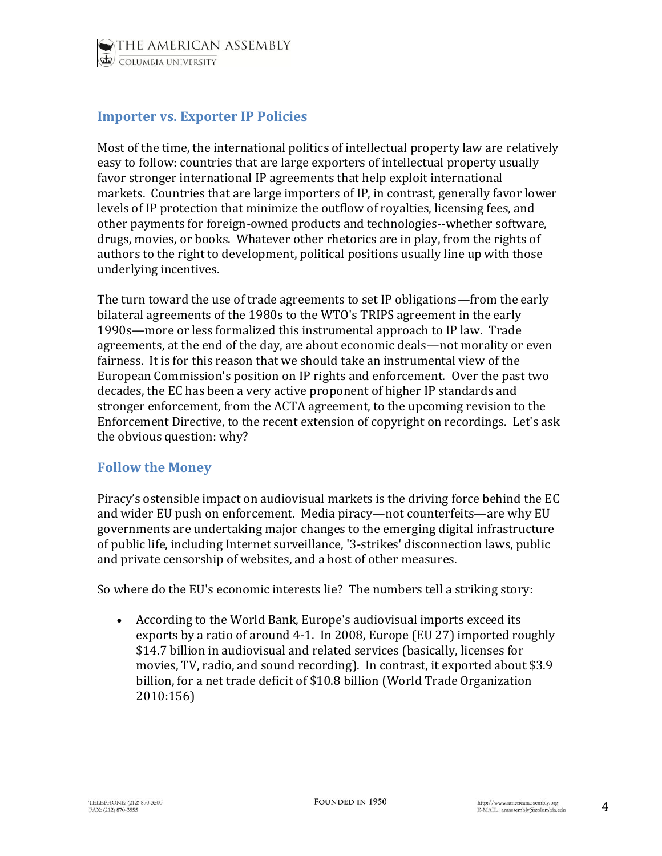# <span id="page-3-0"></span>**Importer vs. Exporter IP Policies**

Most of the time, the international politics of intellectual property law are relatively easy to follow: countries that are large exporters of intellectual property usually favor stronger international IP agreements that help exploit international markets. Countries that are large importers of IP, in contrast, generally favor lower levels of IP protection that minimize the outflow of royalties, licensing fees, and other payments for foreign-owned products and technologies--whether software, drugs, movies, or books. Whatever other rhetorics are in play, from the rights of authors to the right to development, political positions usually line up with those underlying incentives.

The turn toward the use of trade agreements to set IP obligations—from the early bilateral agreements of the 1980s to the WTO's TRIPS agreement in the early 1990s—more or less formalized this instrumental approach to IP law. Trade agreements, at the end of the day, are about economic deals—not morality or even fairness. It is for this reason that we should take an instrumental view of the European Commission's position on IP rights and enforcement. Over the past two decades, the EC has been a very active proponent of higher IP standards and stronger enforcement, from the ACTA agreement, to the upcoming revision to the Enforcement Directive, to the recent extension of copyright on recordings. Let's ask the obvious question: why?

#### <span id="page-3-1"></span>**Follow the Money**

Piracy's ostensible impact on audiovisual markets is the driving force behind the EC and wider EU push on enforcement. Media piracy—not counterfeits—are why EU governments are undertaking major changes to the emerging digital infrastructure of public life, including Internet surveillance, '3-strikes' disconnection laws, public and private censorship of websites, and a host of other measures.

So where do the EU's economic interests lie? The numbers tell a striking story:

 According to the World Bank, Europe's audiovisual imports exceed its exports by a ratio of around 4-1. In 2008, Europe (EU 27) imported roughly \$14.7 billion in audiovisual and related services (basically, licenses for movies, TV, radio, and sound recording). In contrast, it exported about \$3.9 billion, for a net trade deficit of \$10.8 billion (World Trade Organization 2010:156)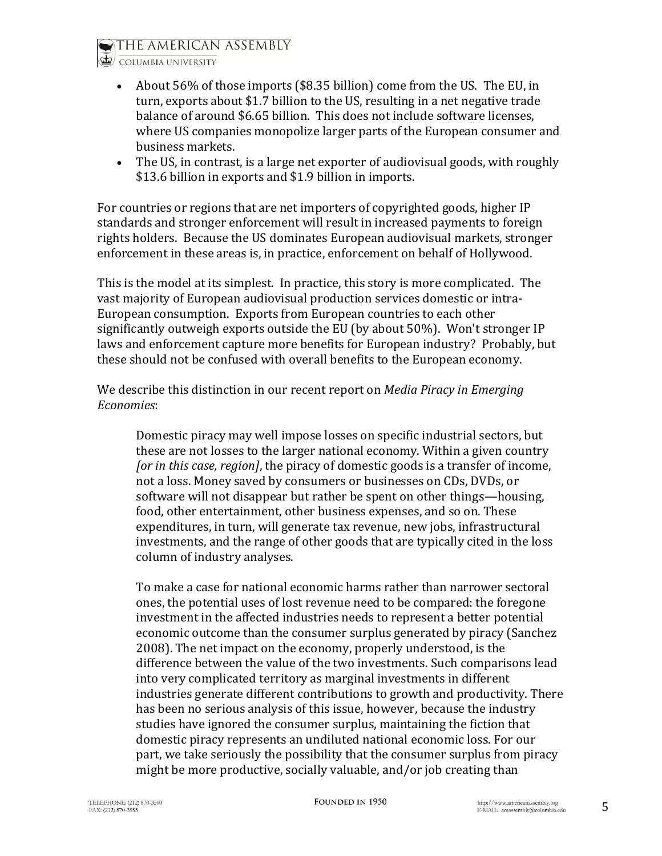

COLUMBIA UNIVERSITY

- About 56% of those imports (\$8.35 billion) come from the US. The EU, in turn, exports about \$1.7 billion to the US, resulting in a net negative trade balance of around \$6.65 billion. This does not include software licenses, where US companies monopolize larger parts of the European consumer and business markets.
- The US, in contrast, is a large net exporter of audiovisual goods, with roughly \$13.6 billion in exports and \$1.9 billion in imports.

For countries or regions that are net importers of copyrighted goods, higher IP standards and stronger enforcement will result in increased payments to foreign rights holders. Because the US dominates European audiovisual markets, stronger enforcement in these areas is, in practice, enforcement on behalf of Hollywood.

This is the model at its simplest. In practice, this story is more complicated. The vast majority of European audiovisual production services domestic or intra-European consumption. Exports from European countries to each other significantly outweigh exports outside the EU (by about 50%). Won't stronger IP laws and enforcement capture more benefits for European industry? Probably, but these should not be confused with overall benefits to the European economy.

We describe this distinction in our recent report on *Media Piracy in Emerging Economies*:

Domestic piracy may well impose losses on specific industrial sectors, but these are not losses to the larger national economy. Within a given country *[or in this case, region]*, the piracy of domestic goods is a transfer of income, not a loss. Money saved by consumers or businesses on CDs, DVDs, or software will not disappear but rather be spent on other things—housing, food, other entertainment, other business expenses, and so on. These expenditures, in turn, will generate tax revenue, new jobs, infrastructural investments, and the range of other goods that are typically cited in the loss column of industry analyses.

To make a case for national economic harms rather than narrower sectoral ones, the potential uses of lost revenue need to be compared: the foregone investment in the affected industries needs to represent a better potential economic outcome than the consumer surplus generated by piracy (Sanchez 2008). The net impact on the economy, properly understood, is the difference between the value of the two investments. Such comparisons lead into very complicated territory as marginal investments in different industries generate different contributions to growth and productivity. There has been no serious analysis of this issue, however, because the industry studies have ignored the consumer surplus, maintaining the fiction that domestic piracy represents an undiluted national economic loss. For our part, we take seriously the possibility that the consumer surplus from piracy might be more productive, socially valuable, and/or job creating than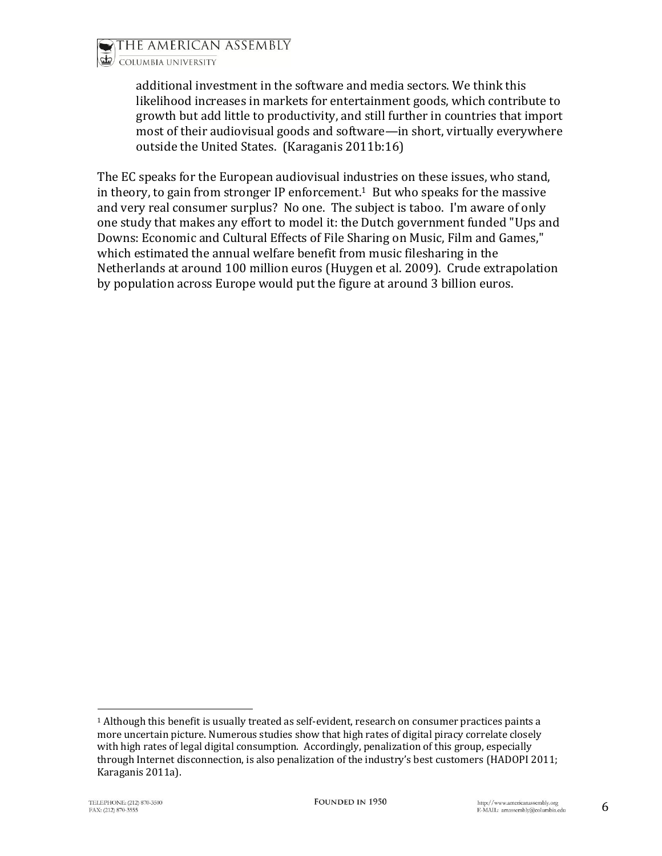additional investment in the software and media sectors. We think this likelihood increases in markets for entertainment goods, which contribute to growth but add little to productivity, and still further in countries that import most of their audiovisual goods and software—in short, virtually everywhere outside the United States. (Karaganis 2011b:16)

The EC speaks for the European audiovisual industries on these issues, who stand, in theory, to gain from stronger IP enforcement. <sup>1</sup> But who speaks for the massive and very real consumer surplus? No one. The subject is taboo. I'm aware of only one study that makes any effort to model it: the Dutch government funded "Ups and Downs: Economic and Cultural Effects of File Sharing on Music, Film and Games," which estimated the annual welfare benefit from music filesharing in the Netherlands at around 100 million euros (Huygen et al. 2009). Crude extrapolation by population across Europe would put the figure at around 3 billion euros.

l

 $1$  Although this benefit is usually treated as self-evident, research on consumer practices paints a more uncertain picture. Numerous studies show that high rates of digital piracy correlate closely with high rates of legal digital consumption. Accordingly, penalization of this group, especially through Internet disconnection, is also penalization of the industry's best customers (HADOPI 2011; Karaganis 2011a).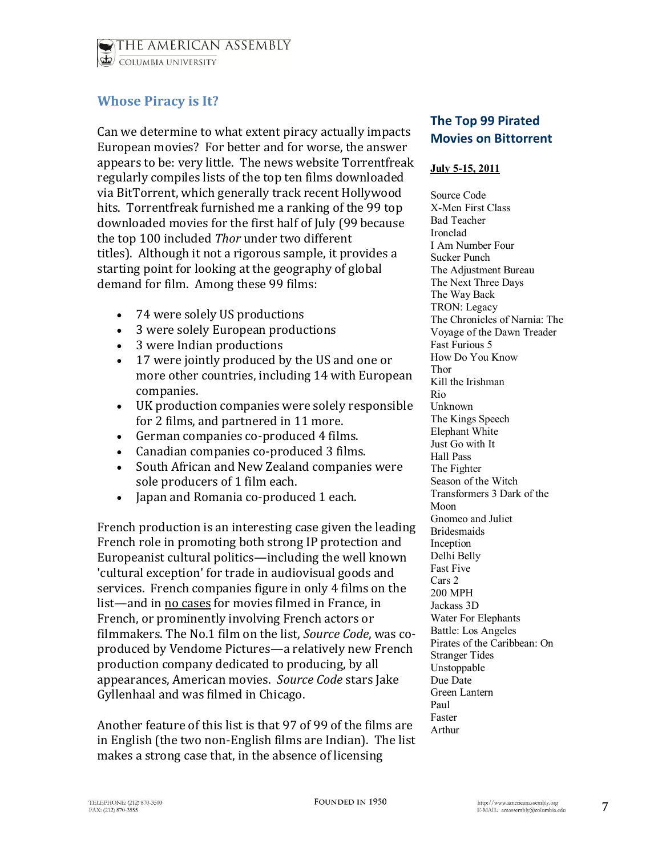THE AMERICAN ASSEMBLY COLUMBIA UNIVERSITY

## <span id="page-6-0"></span>**Whose Piracy is It?**

Can we determine to what extent piracy actually impacts European movies? For better and for worse, the answer appears to be: very little. The news website Torrentfreak regularly compiles lists of the top ten films downloaded via BitTorrent, which generally track recent Hollywood hits. Torrentfreak furnished me a ranking of the 99 top downloaded movies for the first half of July (99 because the top 100 included *Thor* under two different titles). Although it not a rigorous sample, it provides a starting point for looking at the geography of global demand for film. Among these 99 films:

- 74 were solely US productions
- 3 were solely European productions
- 3 were Indian productions
- 17 were jointly produced by the US and one or more other countries, including 14 with European companies.
- UK production companies were solely responsible for 2 films, and partnered in 11 more.
- German companies co-produced 4 films.
- Canadian companies co-produced 3 films.
- South African and New Zealand companies were sole producers of 1 film each.
- Japan and Romania co-produced 1 each.

French production is an interesting case given the leading French role in promoting both strong IP protection and Europeanist cultural politics—including the well known 'cultural exception' for trade in audiovisual goods and services. French companies figure in only 4 films on the list—and in no cases for movies filmed in France, in French, or prominently involving French actors or filmmakers. The No.1 film on the list, *[Source Code](http://www.imdb.com/title/tt0945513/)*, was coproduced by Vendome Pictures—a relatively new French production company dedicated to producing, by all appearances, American movies. *Source Code* stars Jake Gyllenhaal and was filmed in Chicago.

Another feature of this list is that 97 of 99 of the films are in English (the two non-English films are Indian). The list makes a strong case that, in the absence of licensing

## **The Top 99 Pirated Movies on Bittorrent**

#### **July 5-15, 2011**

Source Code X-Men First Class Bad Teacher Ironclad I Am Number Four Sucker Punch The Adjustment Bureau The Next Three Days The Way Back TRON: Legacy The Chronicles of Narnia: The Voyage of the Dawn Treader Fast Furious 5 How Do You Know Thor Kill the Irishman Rio Unknown The Kings Speech Elephant White Just Go with It Hall Pass The Fighter Season of the Witch Transformers 3 Dark of the Moon Gnomeo and Juliet Bridesmaids Inception Delhi Belly Fast Five Cars 2 200 MPH Jackass 3D Water For Elephants Battle: Los Angeles Pirates of the Caribbean: On Stranger Tides Unstoppable Due Date Green Lantern Paul Faster Arthur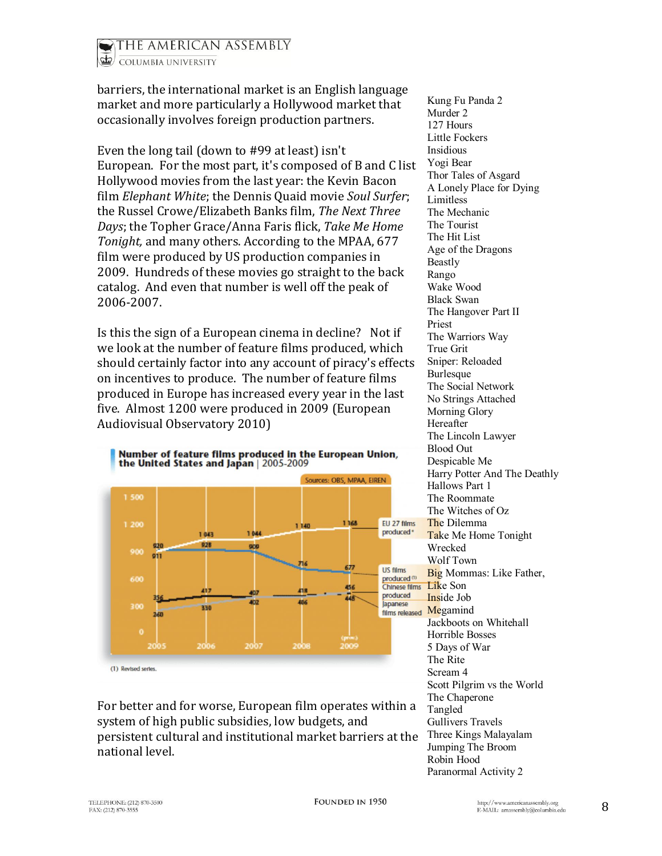

barriers, the international market is an English language market and more particularly a Hollywood market that occasionally involves foreign production partners.

Even the long tail (down to #99 at least) isn't European. For the most part, it's composed of B and C list Hollywood movies from the last year: the Kevin Bacon film *Elephant White*; the Dennis Quaid movie *Soul Surfer*; the Russel Crowe/Elizabeth Banks film, *The Next Three Days*; the Topher Grace/Anna Faris flick, *Take Me Home Tonight,* and many others. According to the MPAA, 677 film were produced by US production companies in 2009. Hundreds of these movies go straight to the back catalog. And even that number is well off the peak of 2006-2007.

Is this the sign of a European cinema in decline? Not if we look at the number of feature films produced, which should certainly factor into any account of piracy's effects on incentives to produce. The number of feature films produced in Europe has increased every year in the last five. Almost 1200 were produced in 2009 (European Audiovisual Observatory 2010)



For better and for worse, European film operates within a system of high public subsidies, low budgets, and persistent cultural and institutional market barriers at the national level.

Kung Fu Panda 2 Murder 2 127 Hours Little Fockers Insidious Yogi Bear Thor Tales of Asgard A Lonely Place for Dying Limitless The Mechanic The Tourist The Hit List Age of the Dragons Beastly Rango Wake Wood Black Swan The Hangover Part II Priest The Warriors Way True Grit Sniper: Reloaded **Burlesque** The Social Network No Strings Attached Morning Glory Hereafter The Lincoln Lawyer Blood Out Despicable Me Harry Potter And The Deathly Hallows Part 1 The Roommate The Witches of Oz The Dilemma Take Me Home Tonight Wrecked Wolf Town Big Mommas: Like Father, Like Son Inside Job Megamind Jackboots on Whitehall Horrible Bosses 5 Days of War The Rite [Screa](http://piracy.ssrc.org/wp-content/uploads/2011/08/number-of-movies.png)m 4 Scott Pilgrim vs the World The Chaperone Tangled Gullivers Travels Three Kings Malayalam Jumping The Broom Robin Hood Paranormal Activity 2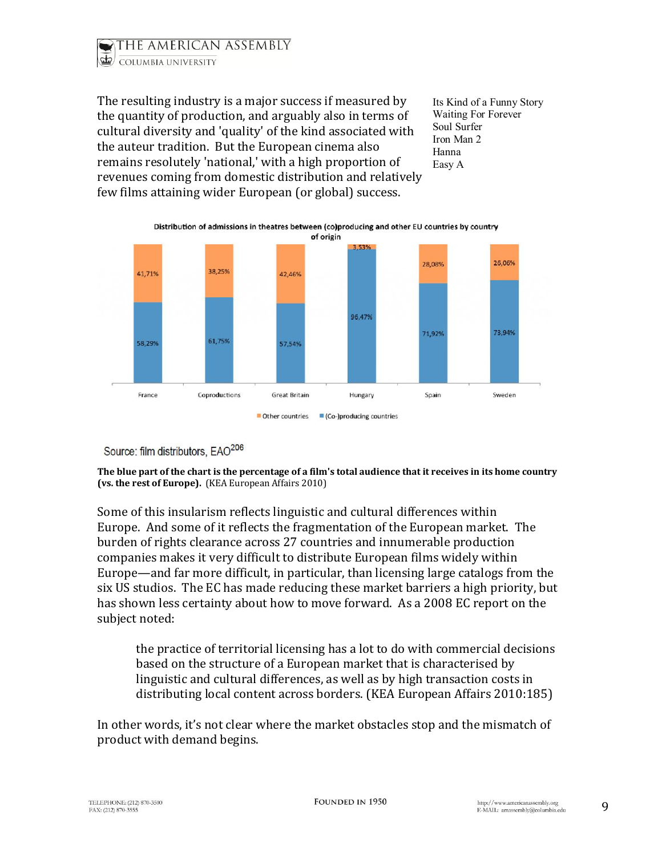

The resulting industry is a major success if measured by the quantity of production, and arguably also in terms of cultural diversity and 'quality' of the kind associated with the auteur tradition. But the European cinema also remains resolutely 'national,' with a high proportion of revenues coming from domestic distribution and relatively few films attaining wider European (or global) success.

Its Kind of a Funny Story Waiting For Forever Soul Surfer Iron Man 2 Hanna Easy A



Source: film distributors, EAO<sup>206</sup>

**The blue part of the chart is the percentage of a film's total audience that it receives in its home country (vs. the rest of Europe).** (KEA European Affairs 2010)

Some of this insularism reflects linguistic and cultural differences within Europe. And some of it reflects the fragmentation of the European market. The burden of rights clearance across 27 countries and innumerable production companies makes it very difficult to distribute European films widely within Europe—and far more difficult, in particular, than licensing large catalogs from the six US studios. The EC has made reducing these market barriers a high [priority,](http://ec.europa.eu/avpolicy/docs/library/studies/multiterr/exec_sum_en.pdf) but has shown less certainty about how to move forward. As a 2008 EC report on the subject noted:

the practice of territorial licensing has a lot to do with commercial decisions based on the structure of a European market that is characterised by linguistic and cultural differences, as well as by high transaction costs in distributing local content across borders. (KEA European Affairs 2010:185)

In other words, it's not clear where the market obstacles stop and the mismatch of product with demand begins.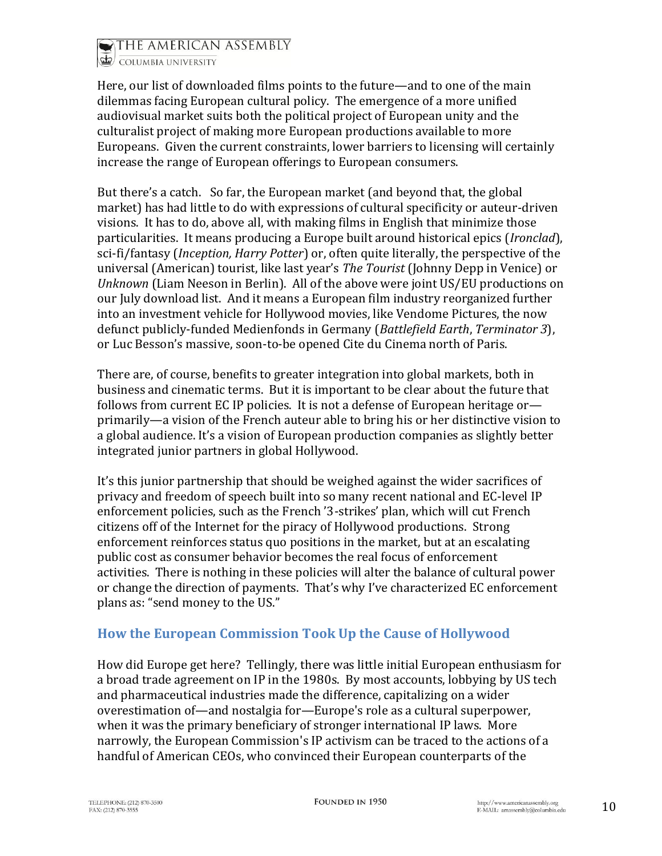

COLUMBIA UNIVERSITY

Here, our list of downloaded films points to the future—and to one of the main dilemmas facing European cultural policy. The emergence of a more unified audiovisual market suits both the political project of European unity and the culturalist project of making more European productions available to more Europeans. Given the current constraints, lower barriers to licensing will certainly increase the range of European offerings to European consumers.

But there's a catch. So far, the European market (and beyond that, the global market) has had little to do with expressions of cultural specificity or auteur-driven visions. It has to do, above all, with making films in English that minimize those particularities. It means producing a Europe built around historical epics (*Ironclad*), sci-fi/fantasy (*Inception, Harry Potter*) or, often quite literally, the perspective of the universal (American) tourist, like last year's *The Tourist* (Johnny Depp in Venice) or *Unknown* (Liam Neeson in Berlin). All of the above were joint US/EU productions on our July download list. And it means a European film industry reorganized further into an investment vehicle for Hollywood movies, like Vendome Pictures, the now defunct publicly-funded Medienfonds in Germany (*Battlefield Earth*, *Terminator 3*), or Luc Besson's massive, soon-to-be opened Cite du Cinema north of Paris.

There are, of course, benefits to greater integration into global markets, both in business and cinematic terms. But it is important to be clear about the future that follows from current EC IP policies. It is not a defense of European heritage orprimarily—a vision of the French auteur able to bring his or her distinctive vision to a global audience. It's a vision of European production companies as slightly better integrated junior partners in global Hollywood.

It's this junior partnership that should be weighed against the wider sacrifices of privacy and freedom of speech built into so many recent national and EC-level IP enforcement policies, such as the French '3-strikes' plan, which will cut French citizens off of the Internet for the piracy of Hollywood productions. Strong enforcement reinforces status quo positions in the market, but at an escalating public cost as consumer behavior becomes the real focus of enforcement activities. There is nothing in these policies will alter the balance of cultural power or change the direction of payments. That's why I've characterized EC enforcement plans as: "send money to the US."

## <span id="page-9-0"></span>**How the European Commission Took Up the Cause of Hollywood**

How did Europe get here? Tellingly, there was little initial European enthusiasm for a broad trade agreement on IP in the 1980s. By most accounts, lobbying by US tech and pharmaceutical industries made the difference, capitalizing on a wider overestimation of—and nostalgia for—Europe's role as a cultural superpower, when it was the primary beneficiary of stronger international IP laws. More narrowly, the European Commission's IP activism can be traced to the actions of a handful of American CEOs, who convinced their European counterparts of the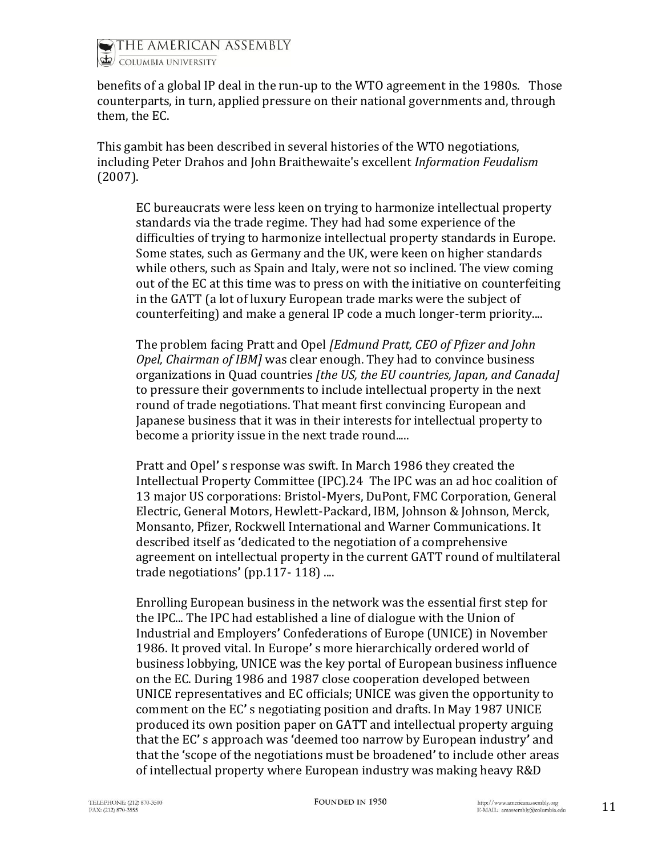

benefits of a global IP deal in the run-up to the WTO agreement in the 1980s. Those counterparts, in turn, applied pressure on their national governments and, through them, the EC.

This gambit has been described in several histories of the WTO negotiations, including Peter Drahos and John Braithewaite's excellent *[Information Feudalism](http://cgkd.anu.edu.au/menus/PDFs/Information%20Feudalism.pdf)* (2007).

EC bureaucrats were less keen on trying to harmonize intellectual property standards via the trade regime. They had had some experience of the difficulties of trying to harmonize intellectual property standards in Europe. Some states, such as Germany and the UK, were keen on higher standards while others, such as Spain and Italy, were not so inclined. The view coming out of the EC at this time was to press on with the initiative on counterfeiting in the GATT (a lot of luxury European trade marks were the subject of counterfeiting) and make a general IP code a much longer-term priority....

The problem facing Pratt and Opel *[Edmund Pratt, CEO of Pfizer and John Opel, Chairman of IBM]* was clear enough. They had to convince business organizations in Quad countries *[the US, the EU countries, Japan, and Canada]* to pressure their governments to include intellectual property in the next round of trade negotiations. That meant first convincing European and Japanese business that it was in their interests for intellectual property to become a priority issue in the next trade round.....

Pratt and Opel**'** s response was swift. In March 1986 they created the Intellectual Property Committee (IPC).24 The IPC was an ad hoc coalition of 13 major US corporations: Bristol-Myers, DuPont, FMC Corporation, General Electric, General Motors, Hewlett-Packard, IBM, Johnson & Johnson, Merck, Monsanto, Pfizer, Rockwell International and Warner Communications. It described itself as **'**dedicated to the negotiation of a comprehensive agreement on intellectual property in the current GATT round of multilateral trade negotiations**'** (pp.117- 118) ....

Enrolling European business in the network was the essential first step for the IPC... The IPC had established a line of dialogue with the Union of Industrial and Employers**'** Confederations of Europe (UNICE) in November 1986. It proved vital. In Europe**'** s more hierarchically ordered world of business lobbying, UNICE was the key portal of European business influence on the EC. During 1986 and 1987 close cooperation developed between UNICE representatives and EC officials; UNICE was given the opportunity to comment on the EC**'** s negotiating position and drafts. In May 1987 UNICE produced its own position paper on GATT and intellectual property arguing that the EC**'** s approach was **'**deemed too narrow by European industry**'** and that the **'**scope of the negotiations must be broadened**'** to include other areas of intellectual property where European industry was making heavy R&D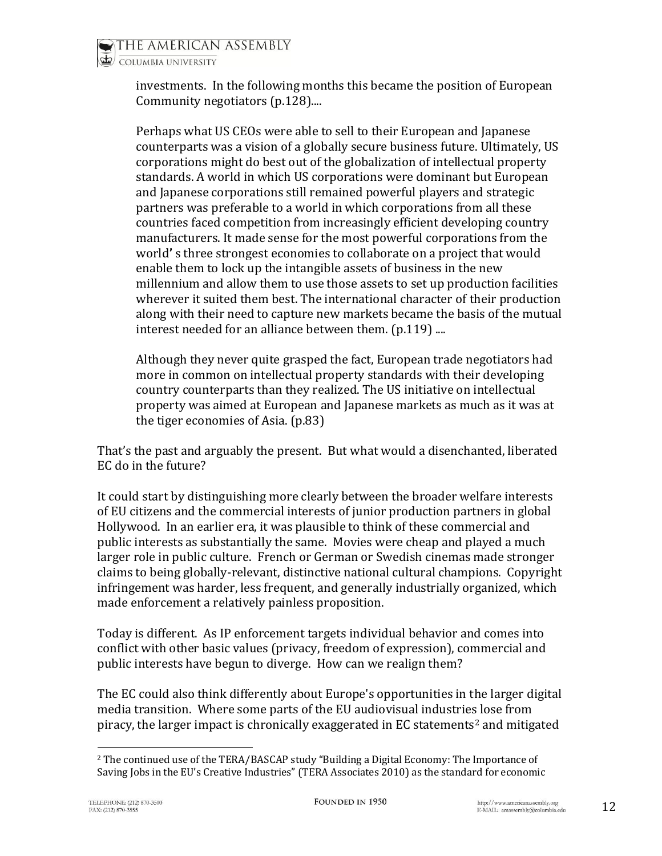investments. In the following months this became the position of European Community negotiators (p.128)....

Perhaps what US CEOs were able to sell to their European and Japanese counterparts was a vision of a globally secure business future. Ultimately, US corporations might do best out of the globalization of intellectual property standards. A world in which US corporations were dominant but European and Japanese corporations still remained powerful players and strategic partners was preferable to a world in which corporations from all these countries faced competition from increasingly efficient developing country manufacturers. It made sense for the most powerful corporations from the world**'** s three strongest economies to collaborate on a project that would enable them to lock up the intangible assets of business in the new millennium and allow them to use those assets to set up production facilities wherever it suited them best. The international character of their production along with their need to capture new markets became the basis of the mutual interest needed for an alliance between them. (p.119) ....

Although they never quite grasped the fact, European trade negotiators had more in common on intellectual property standards with their developing country counterparts than they realized. The US initiative on intellectual property was aimed at European and Japanese markets as much as it was at the tiger economies of Asia. (p.83)

That's the past and arguably the present. But what would a disenchanted, liberated EC do in the future?

It could start by distinguishing more clearly between the broader welfare interests of EU citizens and the commercial interests of junior production partners in global Hollywood. In an earlier era, it was plausible to think of these commercial and public interests as substantially the same. Movies were cheap and played a much larger role in public culture. French or German or Swedish cinemas made stronger claims to being globally-relevant, distinctive national cultural champions. Copyright infringement was harder, less frequent, and generally industrially organized, which made enforcement a relatively painless proposition.

Today is different. As IP enforcement targets individual behavior and comes into conflict with other basic values (privacy, freedom of expression), commercial and public interests have begun to diverge. How can we realign them?

The EC could also think differently about Europe's opportunities in the larger digital media transition. Where some parts of the EU audiovisual industries lose from piracy, the larger impact is chronically exaggerated in  $EC$  statements<sup>2</sup> and mitigated

l <sup>2</sup> The continued use of the TERA/BASCAP study "Building a Digital Economy: The Importance of Saving Jobs in the EU's Creative Industries" (TERA Associates 2010) as the standard for economic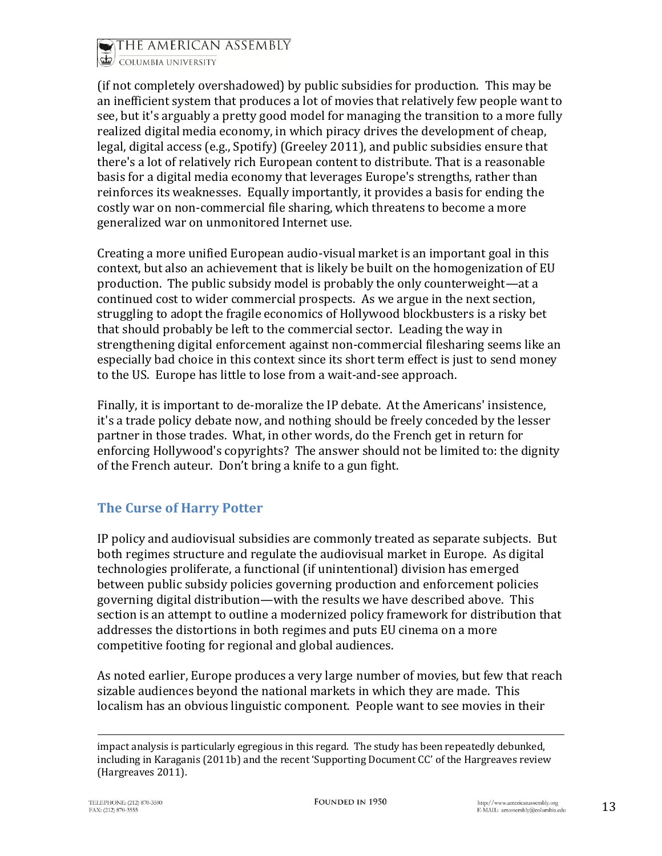

(if not completely overshadowed) by public subsidies for production. This may be an inefficient system that produces a lot of movies that relatively few people want to see, but it's arguably a pretty good model for managing the transition to a more fully realized digital media economy, in which piracy drives the development of cheap, legal, digital access (e.g., Spotify) (Greeley 2011), and public subsidies ensure that there's a lot of relatively rich European content to distribute. That is a reasonable basis for a digital media economy that leverages Europe's strengths, rather than reinforces its weaknesses. Equally importantly, it provides a basis for ending the costly war on non-commercial file sharing, which threatens to become a more generalized war on unmonitored Internet use.

Creating a more unified European audio-visual market is an important goal in this context, but also an achievement that is likely be built on the homogenization of EU production. The public subsidy model is probably the only counterweight—at a continued cost to wider commercial prospects. As we argue in the next section, struggling to adopt the fragile economics of Hollywood blockbusters is a risky bet that should probably be left to the commercial sector. Leading the way in strengthening digital enforcement against non-commercial filesharing seems like an especially bad choice in this context since its short term effect is just to send money to the US. Europe has little to lose from a wait-and-see approach.

Finally, it is important to de-moralize the IP debate. At the Americans' insistence, it's a trade policy debate now, and nothing should be freely conceded by the lesser partner in those trades. What, in other words, do the French get in return for enforcing Hollywood's copyrights? The answer should not be limited to: the dignity of the French auteur. Don't bring a knife to a gun fight.

## <span id="page-12-0"></span>**The Curse of Harry Potter**

IP policy and audiovisual subsidies are commonly treated as separate subjects. But both regimes structure and regulate the audiovisual market in Europe. As digital technologies proliferate, a functional (if unintentional) division has emerged between public subsidy policies governing production and enforcement policies governing digital distribution—with the results we have described above. This section is an attempt to outline a modernized policy framework for distribution that addresses the distortions in both regimes and puts EU cinema on a more competitive footing for regional and global audiences.

As noted earlier, Europe produces a very large number of movies, but few that reach sizable audiences beyond the national markets in which they are made. This localism has an obvious linguistic component. People want to see movies in their

 $\overline{a}$ 

impact analysis is particularly egregious in this regard. The study has been repeatedly debunked, including in Karaganis (2011b) and the recent 'Supporting Document CC' of the Hargreaves review (Hargreaves 2011).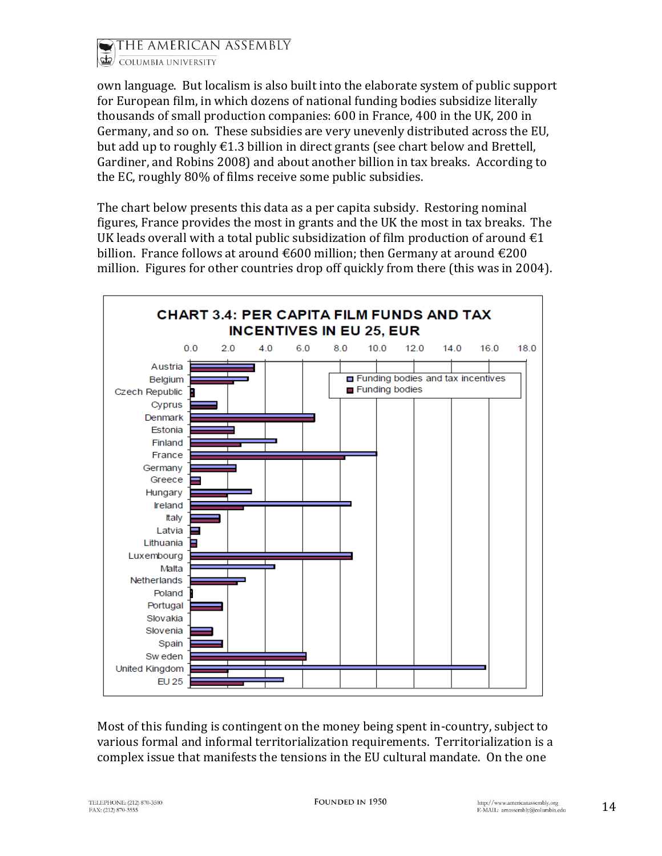

own language. But localism is also built into the elaborate system of public support for European film, in which dozens of national funding bodies subsidize literally thousands of small production companies: 600 in France, 400 in the UK, 200 in Germany, and so on. These subsidies are very unevenly distributed across the EU, but add up to roughly  $\epsilon$ 1.3 billion in direct grants (see chart below and Brettell, Gardiner, and Robins 2008) and about another billion in tax breaks. According to the EC, roughly 80% of films receive some public subsidies.

The chart below presents this data as a per capita subsidy. Restoring nominal figures, France provides the most in grants and the UK the most in tax breaks. The UK leads overall with a total public subsidization of film production of around  $\epsilon_1$ billion. France follows at around  $\epsilon$ 600 million; then Germany at around  $\epsilon$ 200 million. Figures for other countries drop off quickly from there (this was in 2004).



Most of this funding is contingent on the money being spent in-country, subject to various formal and informal territorialization requirements. Territorialization is a complex issue that manifests the tensions in the EU cultural mandate. On the one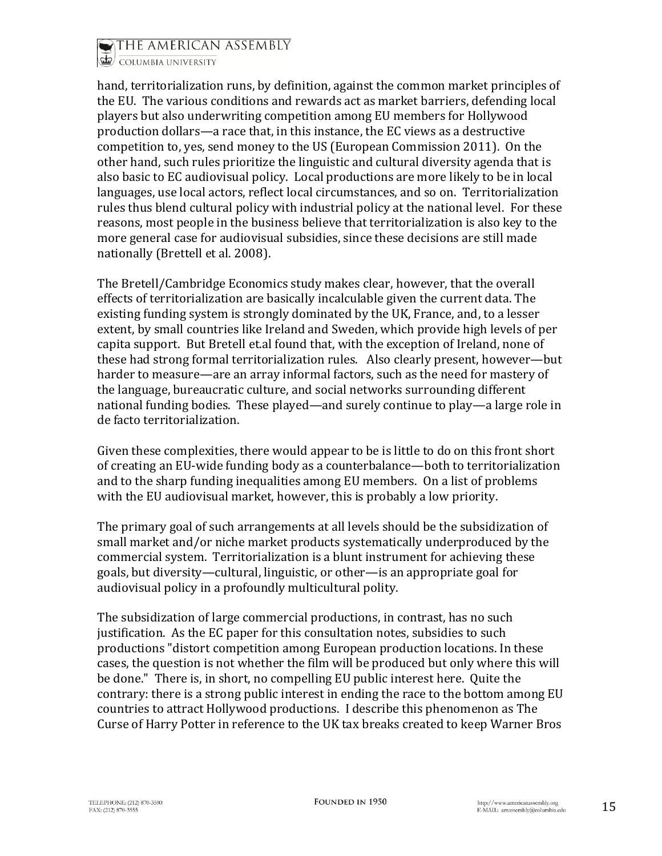

COLUMBIA UNIVERSITY

hand, territorialization runs, by definition, against the common market principles of the EU. The various conditions and rewards act as market barriers, defending local players but also underwriting competition among EU members for Hollywood production dollars—a race that, in this instance, the EC views as a destructive competition to, yes, send money to the US (European Commission 2011). On the other hand, such rules prioritize the linguistic and cultural diversity agenda that is also basic to EC audiovisual policy. Local productions are more likely to be in local languages, use local actors, reflect local circumstances, and so on. Territorialization rules thus blend cultural policy with industrial policy at the national level. For these reasons, most people in the business believe that territorialization is also key to the more general case for audiovisual subsidies, since these decisions are still made nationally (Brettell et al. 2008).

The Bretell/Cambridge Economics study makes clear, however, that the overall effects of territorialization are basically incalculable given the current data. The existing funding system is strongly dominated by the UK, France, and, to a lesser extent, by small countries like Ireland and Sweden, which provide high levels of per capita support. But Bretell et.al found that, with the exception of Ireland, none of these had strong formal territorialization rules. Also clearly present, however—but harder to measure—are an array informal factors, such as the need for mastery of the language, bureaucratic culture, and social networks surrounding different national funding bodies. These played—and surely continue to play—a large role in de facto territorialization.

Given these complexities, there would appear to be is little to do on this front short of creating an EU-wide funding body as a counterbalance—both to territorialization and to the sharp funding inequalities among EU members. On a list of problems with the EU audiovisual market, however, this is probably a low priority.

The primary goal of such arrangements at all levels should be the subsidization of small market and/or niche market products systematically underproduced by the commercial system. Territorialization is a blunt instrument for achieving these goals, but diversity—cultural, linguistic, or other—is an appropriate goal for audiovisual policy in a profoundly multicultural polity.

The subsidization of large commercial productions, in contrast, has no such justification. As the EC paper for this consultation notes, subsidies to such productions "distort competition among European production locations. In these cases, the question is not whether the film will be produced but only where this will be done." There is, in short, no compelling EU public interest here. Quite the contrary: there is a strong public interest in ending the race to the bottom among EU countries to attract Hollywood productions. I describe this phenomenon as The Curse of Harry Potter in reference to the UK tax breaks created to keep Warner Bros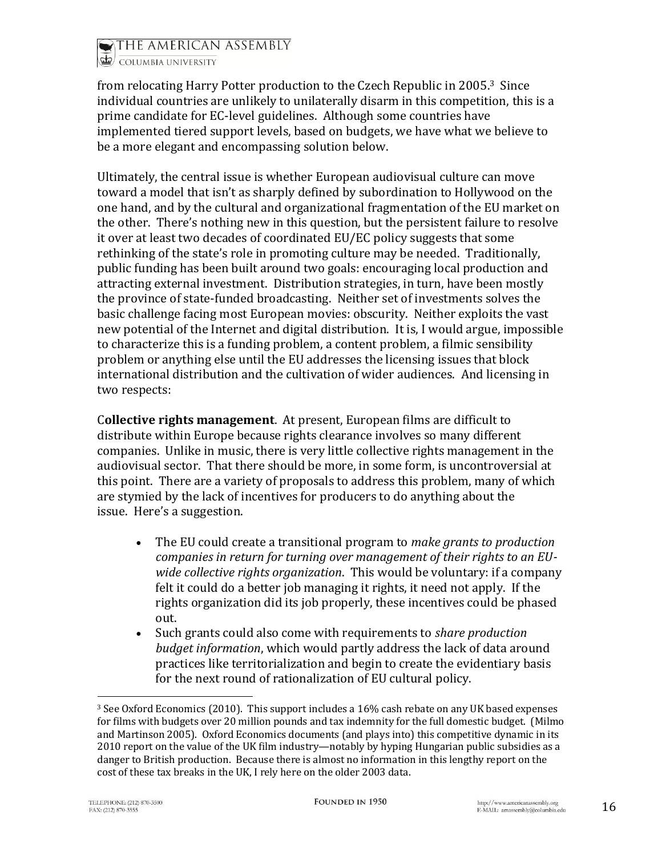

COLUMBIA UNIVERSITY

from relocating Harry Potter production to the Czech Republic in 2005. <sup>3</sup> Since individual countries are unlikely to unilaterally disarm in this competition, this is a prime candidate for EC-level guidelines. Although some countries have implemented tiered support levels, based on budgets, we have what we believe to be a more elegant and encompassing solution below.

Ultimately, the central issue is whether European audiovisual culture can move toward a model that isn't as sharply defined by subordination to Hollywood on the one hand, and by the cultural and organizational fragmentation of the EU market on the other. There's nothing new in this question, but the persistent failure to resolve it over at least two decades of coordinated EU/EC policy suggests that some rethinking of the state's role in promoting culture may be needed. Traditionally, public funding has been built around two goals: encouraging local production and attracting external investment. Distribution strategies, in turn, have been mostly the province of state-funded broadcasting. Neither set of investments solves the basic challenge facing most European movies: obscurity. Neither exploits the vast new potential of the Internet and digital distribution. It is, I would argue, impossible to characterize this is a funding problem, a content problem, a filmic sensibility problem or anything else until the EU addresses the licensing issues that block international distribution and the cultivation of wider audiences. And licensing in two respects:

C**ollective rights management**. At present, European films are difficult to distribute within Europe because rights clearance involves so many different companies. Unlike in music, there is very little collective rights management in the audiovisual sector. That there should be more, in some form, is uncontroversial at this point. There are a variety of proposals to address this problem, many of which are stymied by the lack of incentives for producers to do anything about the issue. Here's a suggestion.

- The EU could create a transitional program to *make grants to production companies in return for turning over management of their rights to an EUwide collective rights organization*. This would be voluntary: if a company felt it could do a better job managing it rights, it need not apply. If the rights organization did its job properly, these incentives could be phased out.
- Such grants could also come with requirements to *share production budget information*, which would partly address the lack of data around practices like territorialization and begin to create the evidentiary basis for the next round of rationalization of EU cultural policy.

 $\overline{a}$ 

<sup>3</sup> See Oxford Economics (2010). This support includes a 16% cash rebate on any UK based expenses for films with budgets over 20 million pounds and tax indemnity for the full domestic budget. (Milmo and Martinson 2005). Oxford Economics documents (and plays into) this competitive dynamic in its 2010 report on the value of the UK film industry—notably by hyping Hungarian public subsidies as a danger to British production. Because there is almost no information in this lengthy report on the cost of these tax breaks in the UK, I rely here on the older 2003 data.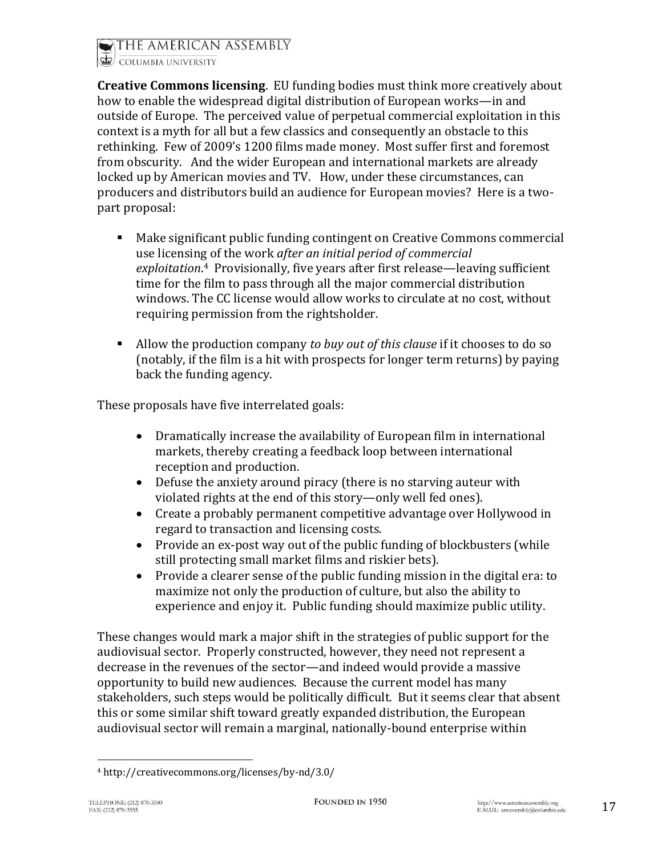

**Creative Commons licensing**. EU funding bodies must think more creatively about how to enable the widespread digital distribution of European works—in and outside of Europe. The perceived value of perpetual commercial exploitation in this context is a myth for all but a few classics and consequently an obstacle to this rethinking. Few of 2009's 1200 films made money. Most suffer first and foremost from obscurity. And the wider European and international markets are already locked up by American movies and TV. How, under these circumstances, can producers and distributors build an audience for European movies? Here is a twopart proposal:

- Make significant public funding contingent on Creative Commons commercial use licensing of the work *after an initial period of commercial exploitation*. <sup>4</sup> Provisionally, five years after first release—leaving sufficient time for the film to pass through all the major commercial distribution windows. The CC license would allow works to circulate at no cost, without requiring permission from the rightsholder.
- Allow the production company *to buy out of this clause* if it chooses to do so (notably, if the film is a hit with prospects for longer term returns) by paying back the funding agency.

These proposals have five interrelated goals:

- Dramatically increase the availability of European film in international markets, thereby creating a feedback loop between international reception and production.
- Defuse the anxiety around piracy (there is no starving auteur with violated rights at the end of this story—only well fed ones).
- Create a probably permanent competitive advantage over Hollywood in regard to transaction and licensing costs.
- Provide an ex-post way out of the public funding of blockbusters (while still protecting small market films and riskier bets).
- Provide a clearer sense of the public funding mission in the digital era: to maximize not only the production of culture, but also the ability to experience and enjoy it. Public funding should maximize public utility.

These changes would mark a major shift in the strategies of public support for the audiovisual sector. Properly constructed, however, they need not represent a decrease in the revenues of the sector—and indeed would provide a massive opportunity to build new audiences. Because the current model has many stakeholders, such steps would be politically difficult. But it seems clear that absent this or some similar shift toward greatly expanded distribution, the European audiovisual sector will remain a marginal, nationally-bound enterprise within

 $\overline{a}$ <sup>4</sup> http://creativecommons.org/licenses/by-nd/3.0/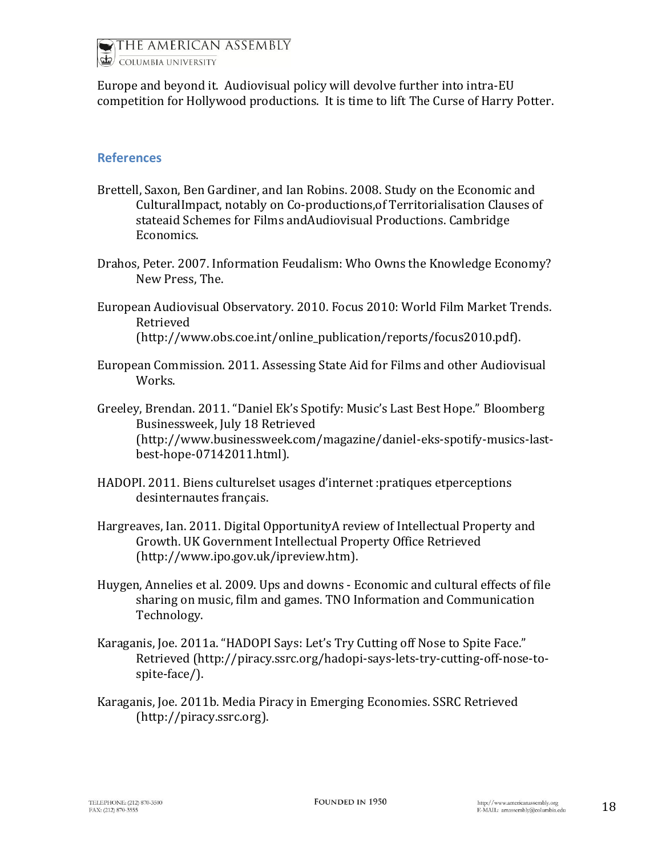

Europe and beyond it. Audiovisual policy will devolve further into intra-EU competition for Hollywood productions. It is time to lift The Curse of Harry Potter.

#### <span id="page-17-0"></span>**References**

- Brettell, Saxon, Ben Gardiner, and Ian Robins. 2008. Study on the Economic and CulturalImpact, notably on Co-productions,of Territorialisation Clauses of stateaid Schemes for Films andAudiovisual Productions. Cambridge Economics.
- Drahos, Peter. 2007. Information Feudalism: Who Owns the Knowledge Economy? New Press, The.
- European Audiovisual Observatory. 2010. Focus 2010: World Film Market Trends. Retrieved (http://www.obs.coe.int/online\_publication/reports/focus2010.pdf).
- European Commission. 2011. Assessing State Aid for Films and other Audiovisual Works.

Greeley, Brendan. 2011. "Daniel Ek's Spotify: Music's Last Best Hope." Bloomberg Businessweek, July 18 Retrieved (http://www.businessweek.com/magazine/daniel-eks-spotify-musics-lastbest-hope-07142011.html).

- HADOPI. 2011. Biens culturelset usages d'internet :pratiques etperceptions desinternautes français.
- Hargreaves, Ian. 2011. Digital OpportunityA review of Intellectual Property and Growth. UK Government Intellectual Property Office Retrieved (http://www.ipo.gov.uk/ipreview.htm).
- Huygen, Annelies et al. 2009. Ups and downs Economic and cultural effects of file sharing on music, film and games. TNO Information and Communication Technology.
- Karaganis, Joe. 2011a. "HADOPI Says: Let's Try Cutting off Nose to Spite Face." Retrieved (http://piracy.ssrc.org/hadopi-says-lets-try-cutting-off-nose-tospite-face/).
- Karaganis, Joe. 2011b. Media Piracy in Emerging Economies. SSRC Retrieved (http://piracy.ssrc.org).